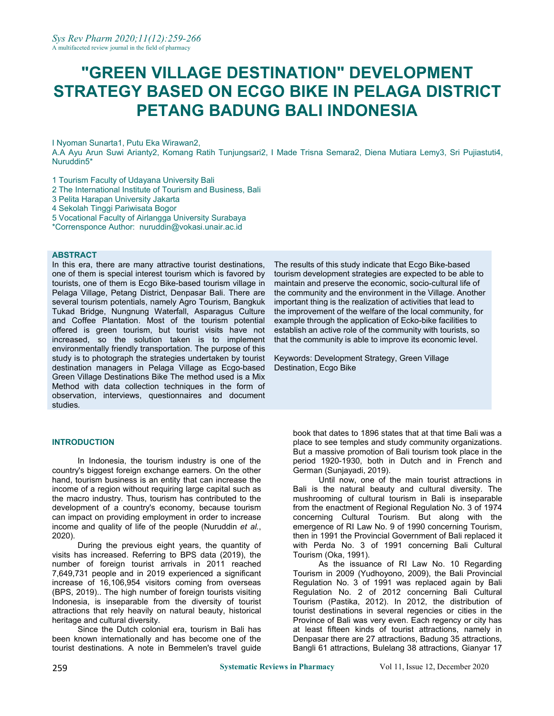# **"GREEN VILLAGE DESTINATION" DEVELOPMENT STRATEGY BASED ON ECGO BIKE IN PELAGA DISTRICT PETANG BADUNG BALI INDONESIA**

I Nyoman Sunarta1, Putu Eka Wirawan2,

A.A Ayu Arun Suwi Arianty2, Komang Ratih Tunjungsari2, I Made Trisna Semara2, Diena Mutiara Lemy3, Sri Pujiastuti4, Nuruddin5\*

1 Tourism Faculty of Udayana University Bali

- 2 The International Institute of Tourism and Business, Bali
- 3 Pelita Harapan University Jakarta
- 4 Sekolah Tinggi Pariwisata Bogor
- 5 Vocational Faculty of Airlangga University Surabaya
- \*Corrensponce Author: [nuruddin@vokasi.unair.ac.id](mailto:nuruddin@vokasi.unair.ac.id)

#### **ABSTRACT**

In this era, there are many attractive tourist destinations, one of them is special interest tourism which is favored by tourists, one of them is Ecgo Bike-based tourism village in Pelaga Village, Petang District, Denpasar Bali. There are several tourism potentials, namely Agro Tourism, Bangkuk Tukad Bridge, Nungnung Waterfall, Asparagus Culture and Coffee Plantation. Most of the tourism potential offered is green tourism, but tourist visits have not increased, so the solution taken is to implement environmentally friendly transportation. The purpose of this study is to photograph the strategies undertaken by tourist destination managers in Pelaga Village as Ecgo-based Green Village Destinations Bike The method used is a Mix Method with data collection techniques in the form of observation, interviews, questionnaires and document studies.

#### **INTRODUCTION**

In Indonesia, the tourism industry is one of the country's biggest foreign exchange earners. On the other hand, tourism business is an entity that can increase the income of a region without requiring large capital such as the macro industry. Thus, tourism has contributed to the development of a country's economy, because tourism can impact on providing employment in order to increase income and quality of life of the people (Nuruddin *et al.*, 2020).

During the previous eight years, the quantity of visits has increased. Referring to BPS data (2019), the number of foreign tourist arrivals in 2011 reached 7,649,731 people and in 2019 experienced a significant increase of 16,106,954 visitors coming from overseas (BPS, 2019).. The high number of foreign tourists visiting Indonesia, is inseparable from the diversity of tourist attractions that rely heavily on natural beauty, historical heritage and cultural diversity.

Since the Dutch colonial era, tourism in Bali has been known internationally and has become one of the tourist destinations. A note in Bemmelen's travel guide

The results of this study indicate that Ecgo Bike-based tourism development strategies are expected to be able to maintain and preserve the economic, socio-cultural life of the community and the environment in the Village. Another important thing is the realization of activities that lead to the improvement of the welfare of the local community, for example through the application of Ecko-bike facilities to establish an active role of the community with tourists, so that the community is able to improve its economic level.

Keywords: Development Strategy, Green Village Destination, Ecgo Bike

> book that dates to 1896 states that at that time Bali was a place to see temples and study community organizations. But a massive promotion of Bali tourism took place in the period 1920-1930, both in Dutch and in French and German (Sunjayadi, 2019).

> Until now, one of the main tourist attractions in Bali is the natural beauty and cultural diversity. The mushrooming of cultural tourism in Bali is inseparable from the enactment of Regional Regulation No. 3 of 1974 concerning Cultural Tourism. But along with the emergence of RI Law No. 9 of 1990 concerning Tourism, then in 1991 the Provincial Government of Bali replaced it with Perda No. 3 of 1991 concerning Bali Cultural Tourism (Oka, 1991).

As the issuance of RI Law No. 10 Regarding Tourism in 2009 (Yudhoyono, 2009), the Bali Provincial Regulation No. 3 of 1991 was replaced again by Bali Regulation No. 2 of 2012 concerning Bali Cultural Tourism (Pastika, 2012). In 2012, the distribution of tourist destinations in several regencies or cities in the Province of Bali was very even. Each regency or city has at least fifteen kinds of tourist attractions, namely in Denpasar there are 27 attractions, Badung 35 attractions, Bangli 61 attractions, Bulelang 38 attractions, Gianyar 17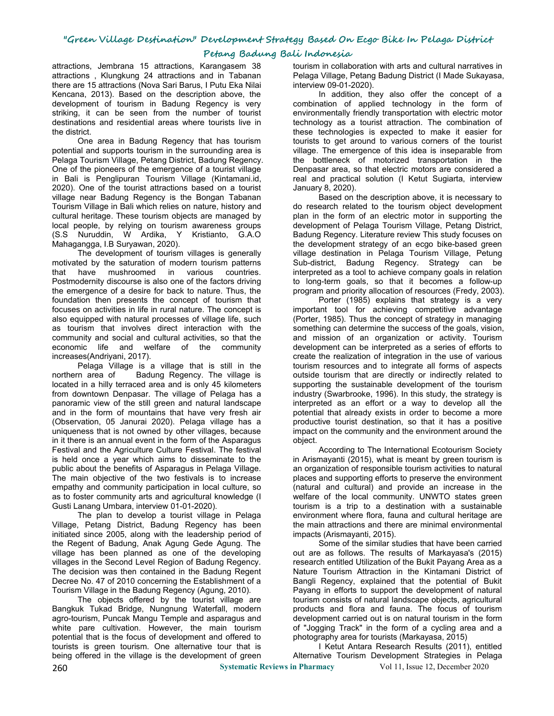## **Petang Badung Bali Indonesia**

attractions, Jembrana 15 attractions, Karangasem 38 attractions , Klungkung 24 attractions and in Tabanan there are 15 attractions (Nova Sari Barus, I Putu Eka Nilai Kencana, 2013). Based on the description above, the development of tourism in Badung Regency is very striking, it can be seen from the number of tourist destinations and residential areas where tourists live in the district.

One area in Badung Regency that has tourism potential and supports tourism in the surrounding area is Pelaga Tourism Village, Petang District, Badung Regency. One of the pioneers of the emergence of a tourist village in Bali is Penglipuran Tourism Village (Kintamani.id,<br>2020). One of the tourist attractions based on a tourist village near Badung Regency is the Bongan Tabanan Tourism Village in Bali which relies on nature, history and cultural heritage. These tourism objects are managed by local people, by relying on tourism awareness groups (S.S Nuruddin, W Ardika, Y Kristianto, G.A.O Mahagangga, I.B Suryawan, 2020).

The development of tourism villages is generally motivated by the saturation of modern tourism patterns that have mushroomed in various countries. Postmodernity discourse is also one of the factors driving the emergence of a desire for back to nature. Thus, the foundation then presents the concept of tourism that focuses on activities in life in rural nature. The concept is also equipped with natural processes of village life, such as tourism that involves direct interaction with the community and social and cultural activities, so that the economic life and welfare of the community increases(Andriyani, 2017).

Pelaga Village is a village that is still in the northern area of Badung Regency. The village is located in a hilly terraced area and is only 45 kilometers from downtown Denpasar. The village of Pelaga has a panoramic view of the still green and natural landscape and in the form of mountains that have very fresh air (Observation, 05 Janurai 2020). Pelaga village has a uniqueness that is not owned by other villages, because in it there is an annual event in the form of the Asparagus Festival and the Agriculture Culture Festival. The festival is held once a year which aims to disseminate to the public about the benefits of Asparagus in Pelaga Village. The main objective of the two festivals is to increase empathy and community participation in local culture, so as to foster community arts and agricultural knowledge (I Gusti Lanang Umbara, interview 01-01-2020).

The plan to develop a tourist village in Pelaga Village, Petang District, Badung Regency has been initiated since 2005, along with the leadership period of the Regent of Badung, Anak Agung Gede Agung. The village has been planned as one of the developing villages in the Second Level Region of Badung Regency. The decision was then contained in the Badung Regent Decree No. 47 of 2010 concerning the Establishment of a Tourism Village in the Badung Regency (Agung, 2010).

The objects offered by the tourist village are Bangkuk Tukad Bridge, Nungnung Waterfall, modern agro-tourism, Puncak Mangu Temple and asparagus and white pare cultivation. However, the main tourism potential that is the focus of development and offered to tourists is green tourism. One alternative tour that is being offered in the village is the development of green

tourism in collaboration with arts and cultural narratives in Pelaga Village, Petang Badung District (I Made Sukayasa, interview 09-01-2020).

In addition, they also offer the concept of a combination of applied technology in the form of environmentally friendly transportation with electric motor technology as a tourist attraction. The combination of these technologies is expected to make it easier for tourists to get around to various corners of the tourist village. The emergence of this idea is inseparable from the bottleneck of motorized transportation in the Denpasar area, so that electric motors are considered a real and practical solution (I Ketut Sugiarta, interview January 8, 2020).

Based on the description above, it is necessary to do research related to the tourism object development plan in the form of an electric motor in supporting the development of Pelaga Tourism Village, Petang District, Badung Regency. Literature review This study focuses on the development strategy of an ecgo bike-based green village destination in Pelaga Tourism Village, Petung Sub-district, Badung Regency. Strategy can be interpreted as a tool to achieve company goals in relation to long-term goals, so that it becomes a follow-up program and priority allocation of resources (Fredy, 2003).

Porter (1985) explains that strategy is a very important tool for achieving competitive advantage (Porter, 1985). Thus the concept of strategy in managing something can determine the success of the goals, vision, and mission of an organization or activity. Tourism development can be interpreted as a series of efforts to create the realization of integration in the use of various tourism resources and to integrate all forms of aspects outside tourism that are directly or indirectly related to supporting the sustainable development of the tourism industry (Swarbrooke, 1996). In this study, the strategy is interpreted as an effort or a way to develop all the potential that already exists in order to become a more productive tourist destination, so that it has a positive impact on the community and the environment around the object.

According to The International Ecotourism Society in Arismayanti (2015), what is meant by green tourism is an organization of responsible tourism activities tonatural places and supporting efforts to preserve the environment (natural and cultural) and provide an increase in the welfare of the local community. UNWTO states green tourism is a trip to a destination with a sustainable environment where flora, fauna and cultural heritage are the main attractions and there are minimal environmental impacts (Arismayanti, 2015).

Some of the similar studies that have been carried out are as follows. The results of Markayasa's (2015) research entitled Utilization of the Bukit Payang Area as a Nature Tourism Attraction in the Kintamani District of Bangli Regency, explained that the potential of Bukit Payang in efforts to support the development of natural tourism consists of natural landscape objects, agricultural products and flora and fauna. The focus of tourism development carried out is on natural tourism in the form of "Jogging Track" in the form of a cycling area and a photography area for tourists (Markayasa, 2015)

I Ketut Antara Research Results (2011), entitled Alternative Tourism Development Strategies in Pelaga

260 **Systematic Reviews in Pharmacy** Vol 11, Issue 12, December 2020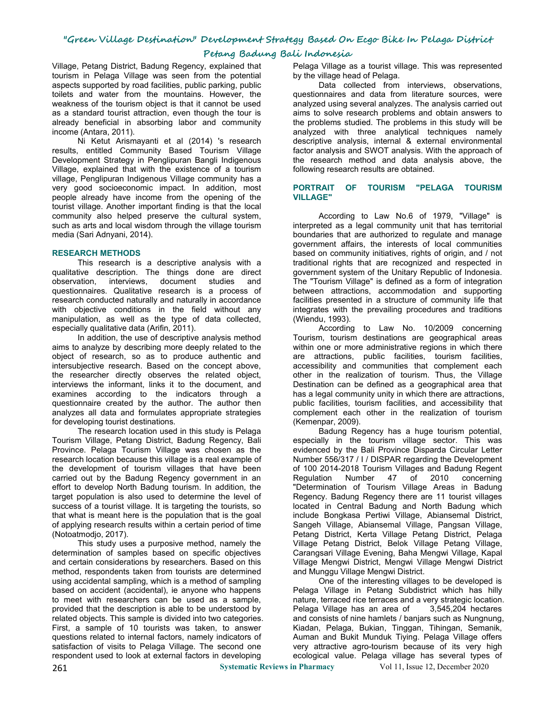## **Petang Badung Bali Indonesia**

Village, Petang District, Badung Regency, explained that tourism in Pelaga Village was seen from the potential aspects supported by road facilities, public parking, public toilets and water from the mountains. However, the weakness of the tourism object is that it cannot be used as a standard tourist attraction, even though the tour is already beneficial in absorbing labor and community income (Antara, 2011).

Ni Ketut Arismayanti et al (2014) 's research results, entitled Community Based Tourism Village Development Strategy in Penglipuran Bangli Indigenous Village, explained that with the existence of a tourism village, Penglipuran Indigenous Village community has a very good socioeconomic impact. In addition, most people already have income from the opening of the tourist village. Another important finding is that the local community also helped preserve the cultural system, such as arts and local wisdom through the village tourism media (Sari Adnyani, 2014).

#### **RESEARCH METHODS**

This research is a descriptive analysis with a qualitative description. The things done are direct observation, interviews, document studies and questionnaires. Qualitative research is a process of research conducted naturally and naturally in accordance with objective conditions in the field without any manipulation, as well as the type of data collected, especially qualitative data (Arifin, 2011).

In addition, the use of descriptive analysis method aims to analyze by describing more deeply related to the object of research, so as to produce authentic and intersubjective research. Based on the concept above, the researcher directly observes the related object, interviews the informant, links it to the document, and examines according to the indicators through a questionnaire created by the author. The author then analyzes all data and formulates appropriate strategies for developing tourist destinations.

The research location used in this study is Pelaga Tourism Village, Petang District, Badung Regency, Bali Province. Pelaga Tourism Village was chosen as the research location because this village is a real example of the development of tourism villages that have been of 100 2014-2018 Tourn carried out by the Badung Regency government in an carried out by the Badung Regency government in an effort to develop North Badung tourism. In addition, the target population is also used to determine the level of success of a tourist village. It is targeting the tourists, so that what is meant here is the population that is the goal of applying research results within a certain period of time (Notoatmodjo, 2017).

This study uses a purposive method, namely the determination of samples based on specific objectives and certain considerations by researchers. Based on this method, respondents taken from tourists are determined using accidental sampling, which is a method of sampling based on accident (accidental), ie anyone who happens to meet with researchers can be used as a sample, provided that the description is able to be understood by related objects. This sample is divided into two categories. First, a sample of 10 tourists was taken, to answer questions related to internal factors, namely indicators of satisfaction of visits to Pelaga Village. The second one respondent used to look at external factors in developing

Pelaga Village as a tourist village. This was represented by the village head of Pelaga.

Data collected from interviews, observations, questionnaires and data from literature sources, were analyzed using several analyzes. The analysis carried out aims to solve research problems and obtain answers to the problems studied. The problems in this study will be analyzed with three analytical techniques namely descriptive analysis, internal & external environmental factor analysis and SWOT analysis. With the approach of the research method and data analysis above, the following research results are obtained.

#### **PORTRAIT OF TOURISM "PELAGA TOURISM VILLAGE"**

According to Law No.6 of 1979, "Village" is interpreted as a legal community unit that has territorial boundaries that are authorized to regulate and manage government affairs, the interests of local communities based on community initiatives, rights of origin, and / not traditional rights that are recognized and respected in government system of the Unitary Republic of Indonesia. The "Tourism Village" is defined as a form of integration between attractions, accommodation and supporting facilities presented in a structure of community life that integrates with the prevailing procedures and traditions (Wiendu, 1993).

According to Law No. 10/2009 concerning Tourism, tourism destinations are geographical areas within one or more administrative regions in which there are attractions, public facilities, tourism facilities, accessibility and communities that complement each other in the realization of tourism. Thus, the Village Destination can be defined as a geographical area that has a legal community unity in which there are attractions, public facilities, tourism facilities, and accessibility that complement each other in the realization of tourism (Kemenpar, 2009).

Badung Regency has a huge tourism potential, especially in the tourism village sector. This was evidenced by the Bali Province Disparda Circular Letter Number 556/317 / I / DISPAR regarding the Development of 100 2014-2018 Tourism Villages and Badung Regent<br>Regulation Number 47 of 2010 concerning of 2010 "Determination of Tourism Village Areas in Badung Regency. Badung Regency there are 11 tourist villages located in Central Badung and North Badung which include Bongkasa Pertiwi Village, Abiansemal District, Sangeh Village, Abiansemal Village, Pangsan Village, Petang District, Kerta Village Petang District, Pelaga Village Petang District, Belok Village Petang Village, Carangsari Village Evening, Baha Mengwi Village, Kapal Village Mengwi District, Mengwi Village Mengwi District and Munggu Village Mengwi District.

One of the interesting villages to be developed is Pelaga Village in Petang Subdistrict which has hilly nature, terraced rice terraces and a very strategic location. Pelaga Village has an area of 3.545,204 hectares and consists of nine hamlets / banjars such as Nungnung, Kiadan, Pelaga, Bukian, Tinggan, Tihingan, Semanik, Auman and Bukit Munduk Tiying. Pelaga Village offers very attractive agro-tourism because of its very high ecological value. Pelaga village has several types of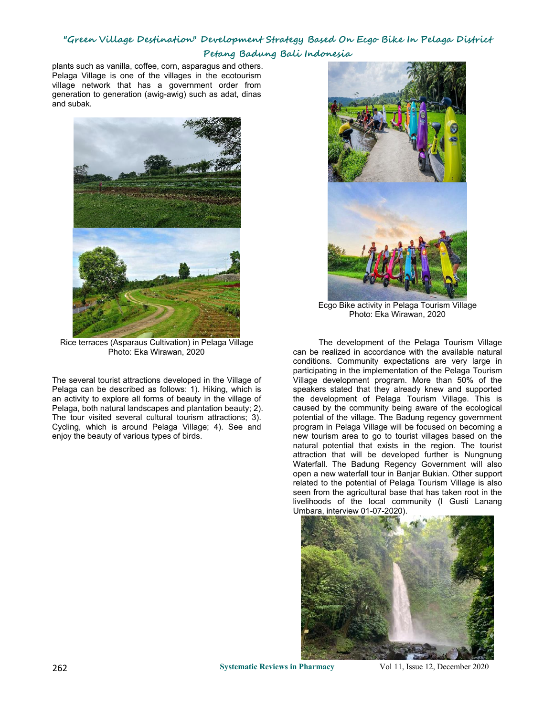# **"Green Village Destination" Development Strategy Based On Ecgo Bike In Pelaga District Petang Badung Bali Indonesia**

plants such as vanilla, coffee, corn, asparagus and others. Pelaga Village is one of the villages in the ecotourism village network that has a government order from generation to generation (awig-awig) such as adat, dinas and subak.



Rice terraces (Asparaus Cultivation) in Pelaga Village Photo: Eka Wirawan, 2020

The several tourist attractions developed in the Village of Pelaga can be described as follows: 1). Hiking, which is an activity to explore all forms of beauty in the village of Pelaga, both natural landscapes and plantation beauty; 2). The tour visited several cultural tourism attractions; 3). Cycling, which is around Pelaga Village; 4). See and enjoy the beauty of various types of birds.



Ecgo Bike activity in Pelaga Tourism Village Photo: Eka Wirawan, 2020

The development of the Pelaga Tourism Village can be realized in accordance with the available natural conditions. Community expectations are very large in participating in the implementation of the Pelaga Tourism Village development program. More than 50% of the speakers stated that they already knew and supported the development of Pelaga Tourism Village. This is caused by the community being aware of the ecological potential of the village. The Badung regency government program in Pelaga Village will be focused on becoming a new tourism area to go to tourist villages based on the natural potential that exists in the region. The tourist attraction that will be developed further is Nungnung Waterfall. The Badung Regency Government will also open a new waterfall tour in Banjar Bukian. Other support related to the potential of Pelaga Tourism Village is also seen from the agricultural base that has taken root in the livelihoods of the local community (I Gusti Lanang Umbara, interview 01-07-2020).



262 **Systematic Reviews in Pharmacy** Vol 11, Issue 12, December 2020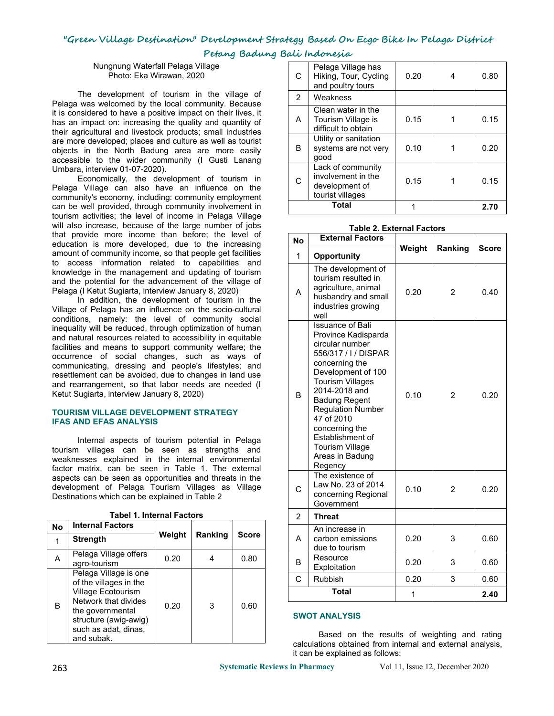**Petang Badung Bali Indonesia**

Nungnung Waterfall Pelaga Village Photo: Eka Wirawan, 2020

The development of tourism in the village of Pelaga was welcomed by the local community. Because it is considered to have a positive impact on their lives, it has an impact on: increasing the quality and quantity of their agricultural and livestock products; small industries are more developed; places and culture as well as tourist objects in the North Badung area are more easily accessible to the wider community (I Gusti Lanang Umbara, interview 01-07-2020).

Economically, the development of tourism in Pelaga Village can also have an influence on the community's economy, including: community employment can be well provided, through community involvement in tourism activities; the level of income in Pelaga Village will also increase, because of the large number of jobs that provide more income than before; the level of education is more developed, due to the increasing amount of community income, so that people get facilities to access information related to capabilities and knowledge in the management and updating of tourism and the potential for the advancement of the village of Pelaga (I Ketut Sugiarta, interview January 8, 2020)

In addition, the development of tourism in the Village of Pelaga has an influence on the socio-cultural conditions, namely: the level of community social inequality will be reduced, through optimization of human and natural resources related to accessibility in equitable facilities and means to support community welfare; the occurrence of social changes, such as ways of communicating, dressing and people's lifestyles; and resettlement can be avoided, due to changes in land use and rearrangement, so that labor needs are needed (I Ketut Sugiarta, interview January 8, 2020)

#### **TOURISM VILLAGE DEVELOPMENT STRATEGY IFAS AND EFAS ANALYSIS**

Internal aspects of tourism potential in Pelaga tourism villages can be seen as strengths and weaknesses explained in the internal environmental factor matrix, can be seen in Table 1. The external aspects can be seen as opportunities and threats in the development of Pelaga Tourism Villages as Village Destinations which can be explained in Table 2

|           |                                                 |        |         |              | ∠ | 1111 <del>c</del> at     |
|-----------|-------------------------------------------------|--------|---------|--------------|---|--------------------------|
| <b>No</b> | <b>Internal Factors</b>                         | Weight | Ranking | <b>Score</b> |   | An increa                |
| 1         | <b>Strength</b>                                 |        |         |              | A | carbon el<br>due to to   |
| Α         | Pelaga Village offers<br>agro-tourism           | 0.20   | 4       | 0.80         | B | Resource<br>Exploitati   |
|           | Pelaga Village is one<br>of the villages in the |        |         |              | C | Rubbish                  |
|           | Village Ecotourism<br>Network that divides      |        |         |              |   | Tota                     |
| В         | the governmental<br>structure (awig-awig)       | 0.20   | 3       | 0.60         |   | <b>SWOT ANALY</b>        |
|           | such as adat, dinas,<br>and subak.              |        |         |              |   | Based<br>calculations of |

**Tabel 1. Internal Factors**

| C              | Pelaga Village has<br>Hiking, Tour, Cycling<br>and poultry tours              | 0.20 | 4 | 0.80 |
|----------------|-------------------------------------------------------------------------------|------|---|------|
| $\overline{2}$ | Weakness                                                                      |      |   |      |
| A              | Clean water in the<br>Tourism Village is<br>difficult to obtain               | 0.15 |   | 0.15 |
| B              | Utility or sanitation<br>systems are not very<br>qood                         | 0.10 |   | 0.20 |
| C              | Lack of community<br>involvement in the<br>development of<br>tourist villages | 0.15 |   | 0.15 |
| Total          |                                                                               |      |   | 2.70 |

#### **Table 2. External Factors**

| <b>No</b>      | <b>External Factors</b>                                                                                                                                                                                                                                                                                                                       |        |                |              |
|----------------|-----------------------------------------------------------------------------------------------------------------------------------------------------------------------------------------------------------------------------------------------------------------------------------------------------------------------------------------------|--------|----------------|--------------|
| $\mathbf 1$    | Opportunity                                                                                                                                                                                                                                                                                                                                   | Weight | Ranking        | <b>Score</b> |
| A              | The development of<br>tourism resulted in<br>agriculture, animal<br>husbandry and small<br>industries growing<br>well                                                                                                                                                                                                                         | 0.20   | $\overline{2}$ | 0.40         |
| <sub>B</sub>   | <b>Issuance of Bali</b><br>Province Kadisparda<br>circular number<br>556/317 / I / DISPAR<br>concerning the<br>Development of 100<br><b>Tourism Villages</b><br>2014-2018 and<br><b>Badung Regent</b><br><b>Regulation Number</b><br>47 of 2010<br>concerning the<br>Establishment of<br><b>Tourism Village</b><br>Areas in Badung<br>Regency | 0.10   | $\overline{2}$ | 0.20         |
| C              | The existence of<br>Law No. 23 of 2014<br>concerning Regional<br>Government                                                                                                                                                                                                                                                                   | 0.10   | $\overline{2}$ | 0.20         |
| $\overline{2}$ | <b>Threat</b>                                                                                                                                                                                                                                                                                                                                 |        |                |              |
| A              | An increase in<br>carbon emissions<br>due to tourism                                                                                                                                                                                                                                                                                          | 0.20   | 3              | 0.60         |
| B              | Resource<br>Exploitation                                                                                                                                                                                                                                                                                                                      | 0.20   | 3              | 0.60         |
| C              | <b>Rubbish</b>                                                                                                                                                                                                                                                                                                                                | 0.20   | 3              | 0.60         |
| <b>Total</b>   |                                                                                                                                                                                                                                                                                                                                               | 1      |                | 2.40         |

#### **SWOT ANALYSIS**

Based on the results of weighting and rating calculations obtained from internal and external analysis, it can be explained as follows:

263 **Systematic Reviews in Pharmacy** Vol 11, Issue 12, December 2020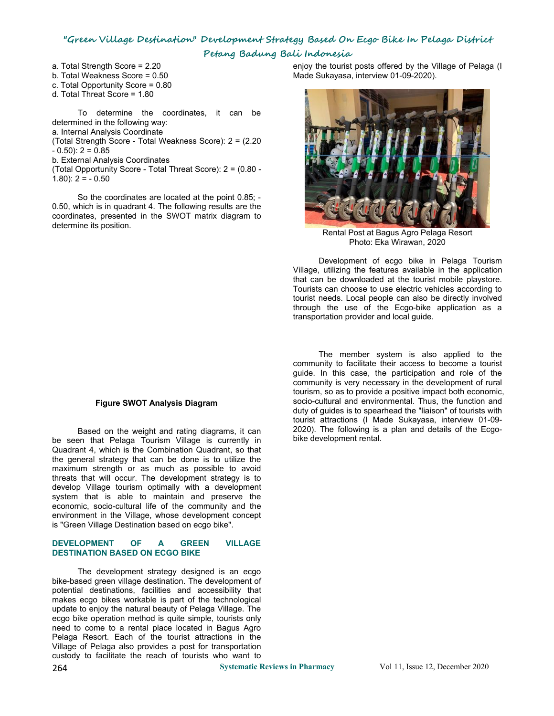# **"Green Village Destination" Development Strategy Based On Ecgo Bike In Pelaga District Petang Badung Bali Indonesia**

a. Total Strength Score = 2.20

- b. Total Weakness Score = 0.50
- c. Total Opportunity Score = 0.80
- d. Total Threat Score = 1.80

To determine the coordinates, it can be determined in the following way:

a. Internal Analysis Coordinate

(Total Strength Score - Total Weakness Score): 2 = (2.20  $- 0.50$ : 2 = 0.85

b. External Analysis Coordinates

(Total Opportunity Score - Total Threat Score): 2 = (0.80 -  $1.80$ :  $2 = -0.50$ 

So the coordinates are located at the point 0.85; - 0.50, which is in quadrant 4. The following results are the coordinates, presented in the SWOT matrix diagram to determine its position.

enjoy the tourist posts offered by the Village of Pelaga (I Made Sukayasa, interview 01-09-2020).



Rental Post at Bagus Agro Pelaga Resort Photo: Eka Wirawan, 2020

Development of ecgo bike in Pelaga Tourism Village, utilizing the features available in the application that can be downloaded at the tourist mobile playstore. Tourists can choose to use electric vehicles according to tourist needs. Local people can also be directly involved through the use of the Ecgo-bike application as a

# **Figure SWOT Analysis Diagram**

Based on the weight and rating diagrams, it can be seen that Pelaga Tourism Village is currently in Quadrant 4, which is the Combination Quadrant, so that the general strategy that can be done is to utilize the maximum strength or as much as possible to avoid threats that will occur. The development strategy is to develop Village tourism optimally with a development system that is able to maintain and preserve the economic, socio-cultural life of the community and the environment in the Village, whose development concept is "Green Village Destination based on ecgo bike".

#### **DEVELOPMENT OF A GREEN VILLAGE DESTINATION BASED ON ECGO BIKE**

The development strategy designed is an ecgo bike-based green village destination. The development of potential destinations, facilities and accessibility that makes ecgo bikes workable is part of the technological update to enjoy the natural beauty of Pelaga Village. The ecgo bike operation method is quite simple, tourists only need to come to a rental place located in Bagus Agro Pelaga Resort. Each of the tourist attractions in the Village of Pelaga also provides a post for transportation custody to facilitate the reach of tourists who want to

transportation provider and local guide.<br>The member system is also applied to the community to facilitate their access to become a tourist guide. In this case, the participation and role of the community is very necessary in the development of rural tourism, so as to provide a positive impact both economic, socio-cultural and environmental. Thus, the function and duty of quides is to spearhead the "liaison" of tourists with tourist attractions (I Made Sukayasa, interview 01-09-2020). The following is a plan and details of the Ecgo bike development rental.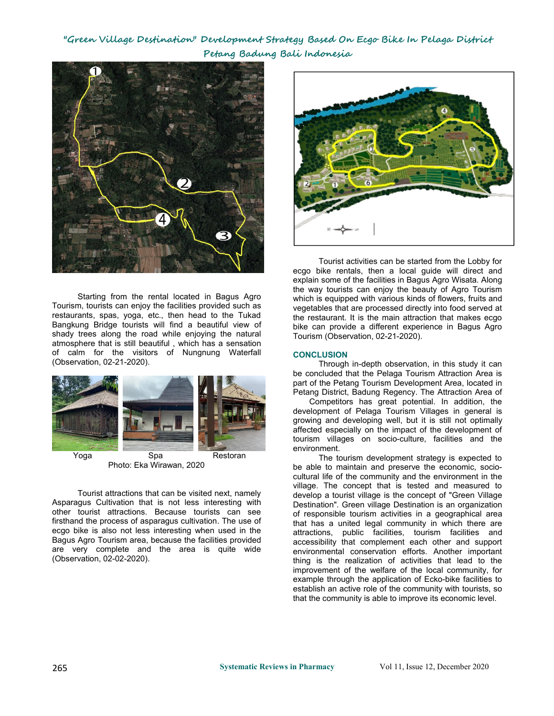# **"Green Village Destination" Development Strategy Based On Ecgo Bike In Pelaga District Petang Badung Bali Indonesia**



Starting from the rental located in Bagus Agro Tourism, tourists can enjoy the facilities provided such as restaurants, spas, yoga, etc., then head to the Tukad Bangkung Bridge tourists will find a beautiful view of shady trees along the road while enjoying the natural atmosphere that is still beautiful , which has a sensation of calm for the visitors of Nungnung Waterfall (Observation, 02-21-2020).



Yoga Spa Restoran Photo: Eka Wirawan, 2020

Tourist attractions that can be visited next, namely Asparagus Cultivation that is not less interesting with other tourist attractions. Because tourists can see firsthand the process of asparagus cultivation. The use of ecgo bike is also not less interesting when used in the Bagus Agro Tourism area, because the facilities provided are very complete and the area is quite wide (Observation, 02-02-2020).



Tourist activities can be started from the Lobby for ecgo bike rentals, then a local guide will direct and explain some of the facilities in Bagus Agro Wisata. Along the way tourists can enjoy the beauty of Agro Tourism which is equipped with various kinds of flowers, fruits and vegetables that are processed directly into food served at the restaurant. It is the main attraction that makes ecgo bike can provide a different experience in Bagus Agro Tourism (Observation, 02-21-2020).

## **CONCLUSION**

Through in-depth observation, in this study it can be concluded that the Pelaga Tourism Attraction Area is part of the Petang Tourism Development Area, located in Petang District, Badung Regency. The Attraction Area of

Competitors has great potential. In addition, the development of Pelaga Tourism Villages in general is growing and developing well, but it is still not optimally affected especially on the impact of the development of tourism villages on socio-culture, facilities and the environment.

The tourism development strategy is expected to be able to maintain and preserve the economic, socio cultural life of the community and the environment in the village. The concept that is tested and measured to develop a tourist village is the concept of "Green Village Destination". Green village Destination is an organization of responsible tourism activities in a geographical area that has a united legal community in which there are attractions, public facilities, tourism facilities and accessibility that complement each other and support environmental conservation efforts. Another important thing is the realization of activities that lead to the improvement of the welfare of the local community, for example through the application of Ecko-bike facilities to establish an active role of the community with tourists, so that the community is able to improve its economic level.